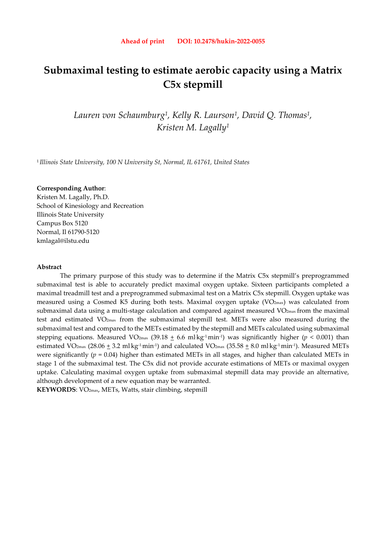# **Submaximal testing to estimate aerobic capacity using a Matrix C5x stepmill**

*Lauren von Schaumburg1, Kelly R. Laurson1, David Q. Thomas1, Kristen M. Lagally1* 

<sup>1</sup>*Illinois State University, 100 N University St, Normal, IL 61761, United States* 

## **Corresponding Author**:

Kristen M. Lagally, Ph.D. School of Kinesiology and Recreation Illinois State University Campus Box 5120 Normal, Il 61790-5120 kmlagal@ilstu.edu

## **Abstract**

The primary purpose of this study was to determine if the Matrix C5x stepmill's preprogrammed submaximal test is able to accurately predict maximal oxygen uptake. Sixteen participants completed a maximal treadmill test and a preprogrammed submaximal test on a Matrix C5x stepmill. Oxygen uptake was measured using a Cosmed K5 during both tests. Maximal oxygen uptake (VO<sub>2max</sub>) was calculated from submaximal data using a multi-stage calculation and compared against measured VO<sub>2max</sub> from the maximal test and estimated VO2max from the submaximal stepmill test. METs were also measured during the submaximal test and compared to the METs estimated by the stepmill and METs calculated using submaximal stepping equations. Measured VO2<sub>max</sub> (39.18 <u>+</u> 6.6 ml·kg<sup>-1</sup>.min<sup>-1</sup>) was significantly higher (*p* < 0.001) than estimated VO2 $_{\rm max}$  (28.06  $\pm$  3.2 ml·kg<sup>-1.</sup>min<sup>-1</sup>) and calculated VO2 $_{\rm max}$  (35.58  $\pm$  8.0 ml·kg<sup>-1.</sup>min<sup>-1</sup>). Measured METs were significantly (*p* = 0.04) higher than estimated METs in all stages, and higher than calculated METs in stage 1 of the submaximal test. The C5x did not provide accurate estimations of METs or maximal oxygen uptake. Calculating maximal oxygen uptake from submaximal stepmill data may provide an alternative, although development of a new equation may be warranted.

**KEYWORDS**: VO2max, METs, Watts, stair climbing, stepmill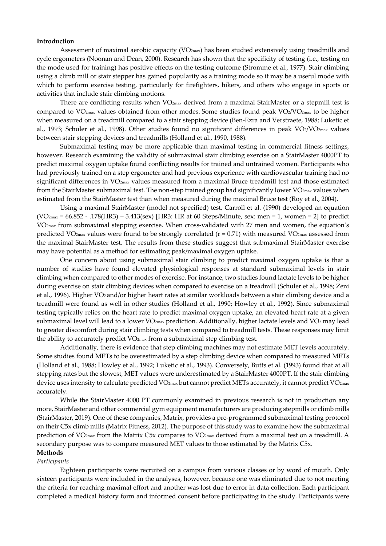#### **Introduction**

Assessment of maximal aerobic capacity ( $VO_{2max}$ ) has been studied extensively using treadmills and cycle ergometers (Noonan and Dean, 2000). Research has shown that the specificity of testing (i.e., testing on the mode used for training) has positive effects on the testing outcome (Stromme et al., 1977). Stair climbing using a climb mill or stair stepper has gained popularity as a training mode so it may be a useful mode with which to perform exercise testing, particularly for firefighters, hikers, and others who engage in sports or activities that include stair climbing motions.

There are conflicting results when VO2max derived from a maximal StairMaster or a stepmill test is compared to VO<sub>2max</sub> values obtained from other modes. Some studies found peak VO<sub>2</sub>/VO<sub>2max</sub> to be higher when measured on a treadmill compared to a stair stepping device (Ben-Ezra and Verstraete, 1988; Luketic et al., 1993; Schuler et al., 1998). Other studies found no significant differences in peak VO2/VO2max values between stair stepping devices and treadmills (Holland et al., 1990, 1988).

Submaximal testing may be more applicable than maximal testing in commercial fitness settings, however. Research examining the validity of submaximal stair climbing exercise on a StairMaster 4000PT to predict maximal oxygen uptake found conflicting results for trained and untrained women. Participants who had previously trained on a step ergometer and had previous experience with cardiovascular training had no significant differences in VO2max values measured from a maximal Bruce treadmill test and those estimated from the StairMaster submaximal test. The non-step trained group had significantly lower VO<sub>2max</sub> values when estimated from the StairMaster test than when measured during the maximal Bruce test (Roy et al., 2004).

Using a maximal StairMaster (model not specified) test, Carroll et al. (1990) developed an equation  $(VO<sub>2max</sub> = 66.852 - .178(HR3) - 3.413$ (sex) [HR3: HR at 60 Steps/Minute, sex: men = 1, women = 2] to predict VO2max from submaximal stepping exercise. When cross-validated with 27 men and women, the equation's predicted VO<sub>2max</sub> values were found to be strongly correlated  $(r = 0.71)$  with measured VO<sub>2max</sub> assessed from the maximal StairMaster test. The results from these studies suggest that submaximal StairMaster exercise may have potential as a method for estimating peak/maximal oxygen uptake.

One concern about using submaximal stair climbing to predict maximal oxygen uptake is that a number of studies have found elevated physiological responses at standard submaximal levels in stair climbing when compared to other modes of exercise. For instance, two studies found lactate levels to be higher during exercise on stair climbing devices when compared to exercise on a treadmill (Schuler et al., 1998; Zeni et al., 1996). Higher VO2 and/or higher heart rates at similar workloads between a stair climbing device and a treadmill were found as well in other studies (Holland et al., 1990; Howley et al., 1992). Since submaximal testing typically relies on the heart rate to predict maximal oxygen uptake, an elevated heart rate at a given submaximal level will lead to a lower VO<sub>2max</sub> prediction. Additionally, higher lactate levels and VO<sub>2</sub> may lead to greater discomfort during stair climbing tests when compared to treadmill tests. These responses may limit the ability to accurately predict VO2max from a submaximal step climbing test.

Additionally, there is evidence that step climbing machines may not estimate MET levels accurately. Some studies found METs to be overestimated by a step climbing device when compared to measured METs (Holland et al., 1988; Howley et al., 1992; Luketic et al., 1993). Conversely, Butts et al. (1993) found that at all stepping rates but the slowest, MET values were underestimated by a StairMaster 4000PT. If the stair climbing device uses intensity to calculate predicted VO<sub>2max</sub> but cannot predict METs accurately, it cannot predict VO<sub>2max</sub> accurately.

While the StairMaster 4000 PT commonly examined in previous research is not in production any more, StairMaster and other commercial gym equipment manufacturers are producing stepmills or climb mills (StairMaster, 2019). One of these companies, Matrix, provides a pre-programmed submaximal testing protocol on their C5x climb mills (Matrix Fitness, 2012). The purpose of this study was to examine how the submaximal prediction of VO<sub>2max</sub> from the Matrix C5x compares to VO<sub>2max</sub> derived from a maximal test on a treadmill. A secondary purpose was to compare measured MET values to those estimated by the Matrix C5x.

## **Methods**

## *Participants*

Eighteen participants were recruited on a campus from various classes or by word of mouth. Only sixteen participants were included in the analyses, however, because one was eliminated due to not meeting the criteria for reaching maximal effort and another was lost due to error in data collection. Each participant completed a medical history form and informed consent before participating in the study. Participants were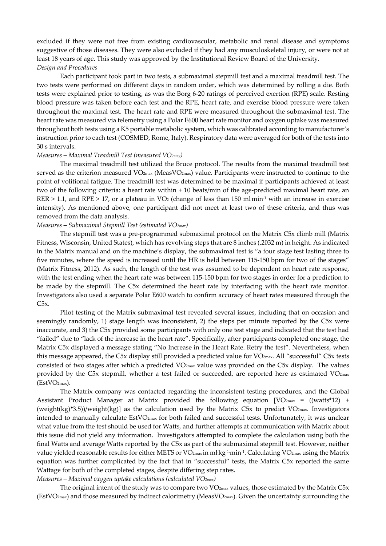excluded if they were not free from existing cardiovascular, metabolic and renal disease and symptoms suggestive of those diseases. They were also excluded if they had any musculoskeletal injury, or were not at least 18 years of age. This study was approved by the Institutional Review Board of the University. *Design and Procedures* 

Each participant took part in two tests, a submaximal stepmill test and a maximal treadmill test. The two tests were performed on different days in random order, which was determined by rolling a die. Both tests were explained prior to testing, as was the Borg 6-20 ratings of perceived exertion (RPE) scale. Resting blood pressure was taken before each test and the RPE, heart rate, and exercise blood pressure were taken throughout the maximal test. The heart rate and RPE were measured throughout the submaximal test. The heart rate was measured via telemetry using a Polar E600 heart rate monitor and oxygen uptake was measured throughout both tests using a K5 portable metabolic system, which was calibrated according to manufacturer's instruction prior to each test (COSMED, Rome, Italy). Respiratory data were averaged for both of the tests into 30 s intervals.

#### *Measures – Maximal Treadmill Test (measured VO2max)*

The maximal treadmill test utilized the Bruce protocol. The results from the maximal treadmill test served as the criterion measured VO<sub>2max</sub> (MeasVO<sub>2max</sub>) value. Participants were instructed to continue to the point of volitional fatigue. The treadmill test was determined to be maximal if participants achieved at least two of the following criteria: a heart rate within  $\pm$  10 beats/min of the age-predicted maximal heart rate, an  $RER > 1.1$ , and  $RPE > 17$ , or a plateau in VO<sub>2</sub> (change of less than 150 mlmin<sup>-1</sup> with an increase in exercise intensity). As mentioned above, one participant did not meet at least two of these criteria, and thus was removed from the data analysis.

## *Measures – Submaximal Stepmill Test (estimated VO2max)*

The stepmill test was a pre-programmed submaximal protocol on the Matrix C5x climb mill (Matrix Fitness, Wisconsin, United States), which has revolving steps that are 8 inches (.2032 m) in height. As indicated in the Matrix manual and on the machine's display, the submaximal test is "a four stage test lasting three to five minutes, where the speed is increased until the HR is held between 115-150 bpm for two of the stages" (Matrix Fitness, 2012). As such, the length of the test was assumed to be dependent on heart rate response, with the test ending when the heart rate was between 115-150 bpm for two stages in order for a prediction to be made by the stepmill. The C5x determined the heart rate by interfacing with the heart rate monitor. Investigators also used a separate Polar E600 watch to confirm accuracy of heart rates measured through the  $C5x$ .

Pilot testing of the Matrix submaximal test revealed several issues, including that on occasion and seemingly randomly, 1) stage length was inconsistent, 2) the steps per minute reported by the C5x were inaccurate, and 3) the C5x provided some participants with only one test stage and indicated that the test had "failed" due to "lack of the increase in the heart rate". Specifically, after participants completed one stage, the Matrix C5x displayed a message stating "No Increase in the Heart Rate. Retry the test". Nevertheless, when this message appeared, the C5x display still provided a predicted value for VO2max. All "successful" C5x tests consisted of two stages after which a predicted VO2max value was provided on the C5x display. The values provided by the C5x stepmill, whether a test failed or succeeded, are reported here as estimated  $VO<sub>2max</sub>$ (EstVO2max).

The Matrix company was contacted regarding the inconsistent testing procedures, and the Global Assistant Product Manager at Matrix provided the following equation  $[VO<sub>2max</sub>] = ((watts*12) +$ (weight(kg)\*3.5))/weight(kg)] as the calculation used by the Matrix C5x to predict  $VO_{2max}$ . Investigators intended to manually calculate EstVO2max for both failed and successful tests. Unfortunately, it was unclear what value from the test should be used for Watts, and further attempts at communication with Matrix about this issue did not yield any information. Investigators attempted to complete the calculation using both the final Watts and average Watts reported by the C5x as part of the submaximal stepmill test. However, neither value yielded reasonable results for either METS or VO2max in ml·kg<sup>-1</sup>.min<sup>-1</sup>. Calculating VO2max using the Matrix equation was further complicated by the fact that in "successful" tests, the Matrix C5x reported the same Wattage for both of the completed stages, despite differing step rates.

## *Measures – Maximal oxygen uptake calculations (calculated VO2max)*

The original intent of the study was to compare two  $VO_{2max}$  values, those estimated by the Matrix  $C5x$  $(EstVO<sub>2max</sub>)$  and those measured by indirect calorimetry  $(MeasVO<sub>2max</sub>)$ . Given the uncertainty surrounding the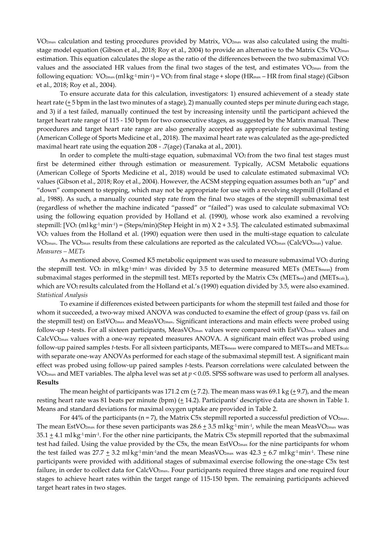VO2max calculation and testing procedures provided by Matrix, VO2max was also calculated using the multistage model equation (Gibson et al., 2018; Roy et al., 2004) to provide an alternative to the Matrix C5x VO<sub>2max</sub> estimation. This equation calculates the slope as the ratio of the differences between the two submaximal VO<sub>2</sub> values and the associated HR values from the final two stages of the test, and estimates  $VO_{2max}$  from the following equation:  $\rm{VO_{2max}(mlkg1·min1)}$  =  $\rm{VO_2}$  from final stage + slope (HR $_{\rm{max}}$  – HR from final stage) (Gibson et al., 2018; Roy et al., 2004).

To ensure accurate data for this calculation, investigators: 1) ensured achievement of a steady state heart rate  $(\pm 5$  bpm in the last two minutes of a stage), 2) manually counted steps per minute during each stage, and 3) if a test failed, manually continued the test by increasing intensity until the participant achieved the target heart rate range of 115 - 150 bpm for two consecutive stages, as suggested by the Matrix manual. These procedures and target heart rate range are also generally accepted as appropriate for submaximal testing (American College of Sports Medicine et al., 2018). The maximal heart rate was calculated as the age-predicted maximal heart rate using the equation 208 - .7(age) (Tanaka at al., 2001).

In order to complete the multi-stage equation, submaximal  $VO<sub>2</sub>$  from the two final test stages must first be determined either through estimation or measurement. Typically, ACSM Metabolic equations (American College of Sports Medicine et al., 2018) would be used to calculate estimated submaximal VO2 values (Gibson et al., 2018; Roy et al., 2004). However, the ACSM stepping equation assumes both an "up" and "down" component to stepping, which may not be appropriate for use with a revolving stepmill (Holland et al., 1988). As such, a manually counted step rate from the final two stages of the stepmill submaximal test (regardless of whether the machine indicated "passed" or "failed") was used to calculate submaximal VO2 using the following equation provided by Holland et al. (1990), whose work also examined a revolving stepmill: [VO2 (ml·kg·1·min·1) = (Steps/min)(Step Height in m) X 2 + 3.5]. The calculated estimated submaximal VO2 values from the Holland et al. (1990) equation were then used in the multi-stage equation to calculate VO2max. The VO2max results from these calculations are reported as the calculated VO2max (CalcVO2max) value. *Measures – METs* 

As mentioned above, Cosmed K5 metabolic equipment was used to measure submaximal VO2 during the stepmill test. VO2 in ml·kg<sup>-1</sup>min<sup>-1</sup> was divided by 3.5 to determine measured METs (METs<sub>meas</sub>) from submaximal stages performed in the stepmill test. METs reported by the Matrix C5x (METsest) and (METscalc), which are VO<sub>2</sub> results calculated from the Holland et al.'s (1990) equation divided by 3.5, were also examined. *Statistical Analysis* 

To examine if differences existed between participants for whom the stepmill test failed and those for whom it succeeded, a two-way mixed ANOVA was conducted to examine the effect of group (pass vs. fail on the stepmill test) on EstVO2max and MeasVO2max. Significant interactions and main effects were probed using follow-up *t*-tests. For all sixteen participants, MeasVO<sub>2max</sub> values were compared with EstVO<sub>2max</sub> values and CalcVO2max values with a one-way repeated measures ANOVA. A significant main effect was probed using follow-up paired samples *t*-tests. For all sixteen participants, MET<sub>Smeas</sub> were compared to MET<sub>Sest</sub> and MET<sub>Scalc</sub> with separate one-way ANOVAs performed for each stage of the submaximal stepmill test. A significant main effect was probed using follow-up paired samples *t*-tests. Pearson correlations were calculated between the VO2max and MET variables. The alpha level was set at *p* < 0.05. SPSS software was used to perform all analyses. **Results** 

The mean height of participants was 171.2 cm ( $\pm$  7.2). The mean mass was 69.1 kg ( $\pm$  9.7), and the mean resting heart rate was 81 beats per minute (bpm)  $(± 14.2)$ . Participants' descriptive data are shown in Table 1. Means and standard deviations for maximal oxygen uptake are provided in Table 2.

For 44% of the participants ( $n = 7$ ), the Matrix C5x stepmill reported a successful prediction of VO<sub>2max</sub>. The mean EstVO2<sub>max</sub> for these seven participants was 28.6  $\pm$  3.5 ml·kg<sup>-1</sup>·min<sup>-1</sup>, while the mean MeasVO2<sub>max</sub> was  $35.1 \pm 4.1$  ml·kg<sup>-1</sup>·min<sup>-1</sup>. For the other nine participants, the Matrix C5x stepmill reported that the submaximal test had failed. Using the value provided by the C5x, the mean EstVO2max for the nine participants for whom the test failed was 27.7  $\pm$  3.2 ml·kg<sup>-1</sup>min<sup>-1</sup>and the mean MeasVO<sub>2max</sub> was 42.3  $\pm$  6.7 ml·kg<sup>-1</sup>min<sup>-1</sup>. These nine participants were provided with additional stages of submaximal exercise following the one-stage C5x test failure, in order to collect data for CalcVO<sub>2max</sub>. Four participants required three stages and one required four stages to achieve heart rates within the target range of 115-150 bpm. The remaining participants achieved target heart rates in two stages.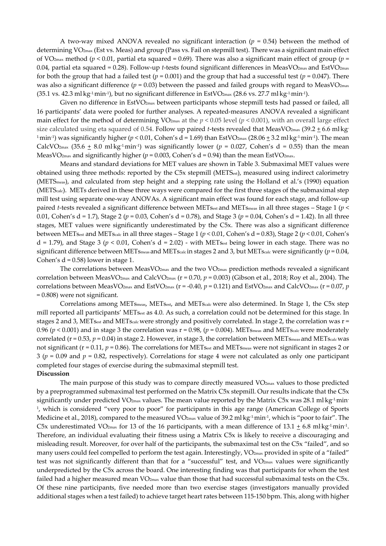A two-way mixed ANOVA revealed no significant interaction  $(p = 0.54)$  between the method of determining VO2max (Est vs. Meas) and group (Pass vs. Fail on stepmill test). There was a significant main effect of VO2max method (*p* < 0.01, partial eta squared = 0.69). There was also a significant main effect of group (*p* = 0.04, partial eta squared = 0.28). Follow-up *t*-tests found significant differences in MeasVO<sub>2max</sub> and EstVO<sub>2max</sub> for both the group that had a failed test  $(p = 0.001)$  and the group that had a successful test  $(p = 0.047)$ . There was also a significant difference  $(p = 0.03)$  between the passed and failed groups with regard to MeasVO<sub>2max</sub> (35.1 vs. 42.3 ml·kg<sup>-1.</sup>min<sup>-1</sup>), but no significant difference in EstVO2max (28.6 vs. 27.7 ml·kg<sup>-1.</sup>min<sup>-1</sup>).

Given no difference in EstVO2max between participants whose stepmill tests had passed or failed, all 16 participants' data were pooled for further analyses. A repeated-measures ANOVA revealed a significant main effect for the method of determining  $VO_{2max}$  at the  $p < 0.05$  level ( $p < 0.001$ ), with an overall large effect size calculated using eta squared of 0.54. Follow up paired *t-*tests revealed that MeasVO2max (39.2 <u>+</u> 6.6 ml·kg<sup>.</sup>  $^{1}\rm min$ 1) was significantly higher ( $p$  < 0.01, Cohen's d = 1.69) than EstVO2 $_{\rm max}$  (28.06  $\pm$  3.2 ml·kg<sup>-1</sup>.min<sup>-1</sup>). The mean CalcVO<sub>2max</sub> (35.6  $\pm$  8.0 ml·kg<sup>-1</sup>.min<sup>-1</sup>) was significantly lower (*p* = 0.027, Cohen's d = 0.55) than the mean MeasVO<sub>2max</sub> and significantly higher ( $p = 0.003$ , Cohen's d = 0.94) than the mean EstVO<sub>2max</sub>.

Means and standard deviations for MET values are shown in Table 3. Submaximal MET values were obtained using three methods: reported by the C5x stepmill (METSest), measured using indirect calorimetry (METSmeas), and calculated from step height and a stepping rate using the Holland et al.'s (1990) equation (METScalc). METs derived in these three ways were compared for the first three stages of the submaximal step mill test using separate one-way ANOVAs. A significant main effect was found for each stage, and follow-up paired *t*-tests revealed a significant difference between MET<sub>Sest</sub> and MET<sub>Smeas</sub> in all three stages – Stage 1 (*p* < 0.01, Cohen's d = 1.7), Stage 2 (*p* = 0.03, Cohen's d = 0.78), and Stage 3 (*p* = 0.04, Cohen's d = 1.42). In all three stages, MET values were significantly underestimated by the C5x. There was also a significant difference between METsest and METscalc in all three stages – Stage 1 (*p* < 0.01, Cohen's d = 0.83), Stage 2 (*p* < 0.01, Cohen's  $d = 1.79$ ), and Stage 3 ( $p < 0.01$ , Cohen's  $d = 2.02$ ) - with METs<sub>est</sub> being lower in each stage. There was no significant difference between MET<sub>Smeas</sub> and MET<sub>Scalc</sub> in stages 2 and 3, but MET<sub>Scalc</sub> were significantly (*p* = 0.04, Cohen's  $d = 0.58$ ) lower in stage 1.

The correlations between MeasVO $_{2\text{max}}$  and the two VO $_{2\text{max}}$  prediction methods revealed a significant correlation between MeasVO2max and CalcVO2max (r = 0.70, *p* = 0.003) (Gibson et al., 2018; Roy et al., 2004). The correlations between MeasVO<sub>2max</sub> and EstVO<sub>2max</sub> ( $r = -0.40$ ,  $p = 0.121$ ) and EstVO<sub>2max</sub> and CalcVO<sub>2max</sub> ( $r = 0.07$ ,  $p$ ) = 0.808) were not significant.

Correlations among METsmeas, METsest, and METscalc were also determined. In Stage 1, the C5x step mill reported all participants' METsest as 4.0. As such, a correlation could not be determined for this stage. In stages 2 and 3, METsest and METscalc were strongly and positively correlated. In stage 2, the correlation was r = 0.96 ( $p$  < 0.001) and in stage 3 the correlation was  $r = 0.98$ , ( $p = 0.004$ ). MET<sub>smeas</sub> and MET<sub>scalc</sub> were moderately correlated  $(r = 0.53, p = 0.04)$  in stage 2. However, in stage 3, the correlation between MET<sub>smeas</sub> and MET<sub>scalc</sub> was not significant (r = 0.11, p = 0.86). The correlations for MET<sub>Sest</sub> and MET<sub>Smeas</sub> were not significant in stages 2 or  $3 (p = 0.09)$  and  $p = 0.82$ , respectively). Correlations for stage 4 were not calculated as only one participant completed four stages of exercise during the submaximal stepmill test.

## **Discussion**

The main purpose of this study was to compare directly measured  $VO<sub>2max</sub>$  values to those predicted by a preprogrammed submaximal test performed on the Matrix C5x stepmill. Our results indicate that the C5x significantly under predicted VO2 $_{\rm max}$  values. The mean value reported by the Matrix C5x was 28.1 ml·kg<sup>-1</sup>min<sup>.</sup> 1, which is considered "very poor to poor" for participants in this age range (American College of Sports Medicine et al., 2018), compared to the measured VO $_{\rm 2max}$  value of 39.2 ml·kg<sup>-1.</sup>min<sup>-1</sup>, which is "poor to fair". The C5x underestimated VO<sub>2max</sub> for 13 of the 16 participants, with a mean difference of 13.1  $\pm$  6.8 ml·kg<sup>-1</sup>min<sup>-1</sup>. Therefore, an individual evaluating their fitness using a Matrix C5x is likely to receive a discouraging and misleading result. Moreover, for over half of the participants, the submaximal test on the C5x "failed", and so many users could feel compelled to perform the test again. Interestingly, VO<sub>2max</sub> provided in spite of a "failed" test was not significantly different than that for a "successful" test, and VO2max values were significantly underpredicted by the C5x across the board. One interesting finding was that participants for whom the test failed had a higher measured mean VO<sub>2max</sub> value than those that had successful submaximal tests on the C5x. Of these nine participants, five needed more than two exercise stages (investigators manually provided additional stages when a test failed) to achieve target heart rates between 115-150 bpm. This, along with higher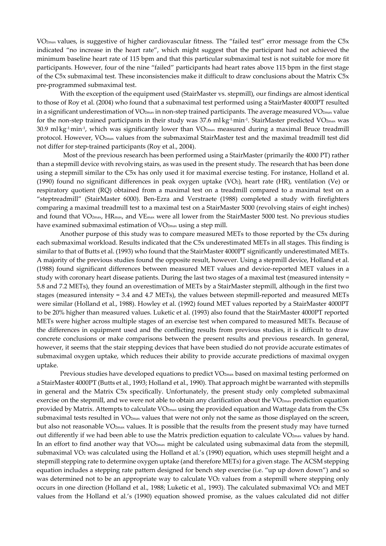VO2max values, is suggestive of higher cardiovascular fitness. The "failed test" error message from the C5x indicated "no increase in the heart rate", which might suggest that the participant had not achieved the minimum baseline heart rate of 115 bpm and that this particular submaximal test is not suitable for more fit participants. However, four of the nine "failed" participants had heart rates above 115 bpm in the first stage of the C5x submaximal test. These inconsistencies make it difficult to draw conclusions about the Matrix C5x pre-programmed submaximal test.

With the exception of the equipment used (StairMaster vs. stepmill), our findings are almost identical to those of Roy et al. (2004) who found that a submaximal test performed using a StairMaster 4000PT resulted in a significant underestimation of VO2max in non-step trained participants. The average measured VO2max value for the non-step trained participants in their study was 37.6 ml·kg<sup>-1</sup>.min<sup>-1</sup>. StairMaster predicted VO2<sub>max</sub> was 30.9 ml·kg<sup>-1</sup>.min<sup>-1</sup>, which was significantly lower than VO2 $_{\rm max}$  measured during a maximal Bruce treadmill protocol. However, VO2max values from the submaximal StairMaster test and the maximal treadmill test did not differ for step-trained participants (Roy et al., 2004).

 Most of the previous research has been performed using a StairMaster (primarily the 4000 PT) rather than a stepmill device with revolving stairs, as was used in the present study. The research that has been done using a stepmill similar to the C5x has only used it for maximal exercise testing. For instance, Holland et al. (1990) found no significant differences in peak oxygen uptake (VO2), heart rate (HR), ventilation (Ve) or respiratory quotient (RQ) obtained from a maximal test on a treadmill compared to a maximal test on a "steptreadmill" (StairMaster 6000). Ben-Ezra and Verstraete (1988) completed a study with firefighters comparing a maximal treadmill test to a maximal test on a StairMaster 5000 (revolving stairs of eight inches) and found that VO<sub>2max</sub>, HR<sub>max</sub>, and VE<sub>max</sub> were all lower from the StairMaster 5000 test. No previous studies have examined submaximal estimation of VO<sub>2max</sub> using a step mill.

Another purpose of this study was to compare measured METs to those reported by the C5x during each submaximal workload. Results indicated that the C5x underestimated METs in all stages. This finding is similar to that of Butts et al. (1993) who found that the StairMaster 4000PT significantly underestimated METs. A majority of the previous studies found the opposite result, however. Using a stepmill device, Holland et al. (1988) found significant differences between measured MET values and device-reported MET values in a study with coronary heart disease patients. During the last two stages of a maximal test (measured intensity = 5.8 and 7.2 METs), they found an overestimation of METs by a StairMaster stepmill, although in the first two stages (measured intensity = 3.4 and 4.7 METs), the values between stepmill-reported and measured METs were similar (Holland et al., 1988). Howley et al. (1992) found MET values reported by a StairMaster 4000PT to be 20% higher than measured values. Luketic et al. (1993) also found that the StairMaster 4000PT reported METs were higher across multiple stages of an exercise test when compared to measured METs. Because of the differences in equipment used and the conflicting results from previous studies, it is difficult to draw concrete conclusions or make comparisons between the present results and previous research. In general, however, it seems that the stair stepping devices that have been studied do not provide accurate estimates of submaximal oxygen uptake, which reduces their ability to provide accurate predictions of maximal oxygen uptake.

Previous studies have developed equations to predict VO<sub>2max</sub> based on maximal testing performed on a StairMaster 4000PT (Butts et al., 1993; Holland et al., 1990). That approach might be warranted with stepmills in general and the Matrix C5x specifically. Unfortunately, the present study only completed submaximal exercise on the stepmill, and we were not able to obtain any clarification about the VO<sub>2max</sub> prediction equation provided by Matrix. Attempts to calculate VO2max using the provided equation and Wattage data from the C5x submaximal tests resulted in VO<sub>2max</sub> values that were not only not the same as those displayed on the screen, but also not reasonable VO2max values. It is possible that the results from the present study may have turned out differently if we had been able to use the Matrix prediction equation to calculate VO<sub>2max</sub> values by hand. In an effort to find another way that  $VO_{2max}$  might be calculated using submaximal data from the stepmill, submaximal VO2 was calculated using the Holland et al.'s (1990) equation, which uses stepmill height and a stepmill stepping rate to determine oxygen uptake (and therefore METs) for a given stage. The ACSM stepping equation includes a stepping rate pattern designed for bench step exercise (i.e. "up up down down") and so was determined not to be an appropriate way to calculate VO<sub>2</sub> values from a stepmill where stepping only occurs in one direction (Holland et al., 1988; Luketic et al., 1993). The calculated submaximal VO<sub>2</sub> and MET values from the Holland et al.'s (1990) equation showed promise, as the values calculated did not differ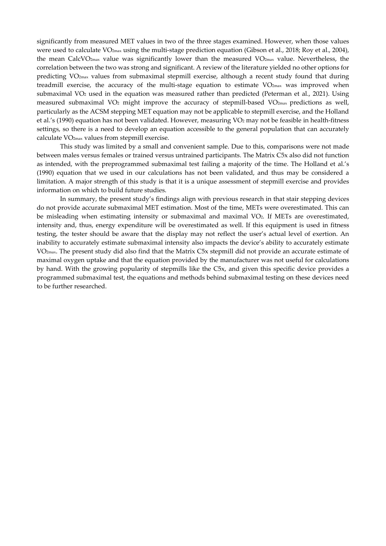significantly from measured MET values in two of the three stages examined. However, when those values were used to calculate VO<sub>2max</sub> using the multi-stage prediction equation (Gibson et al., 2018; Roy et al., 2004), the mean CalcVO2max value was significantly lower than the measured VO2max value. Nevertheless, the correlation between the two was strong and significant. A review of the literature yielded no other options for predicting VO2max values from submaximal stepmill exercise, although a recent study found that during treadmill exercise, the accuracy of the multi-stage equation to estimate  $VO<sub>2max</sub>$  was improved when submaximal VO2 used in the equation was measured rather than predicted (Peterman et al., 2021). Using measured submaximal VO2 might improve the accuracy of stepmill-based VO2max predictions as well, particularly as the ACSM stepping MET equation may not be applicable to stepmill exercise, and the Holland et al.'s (1990) equation has not been validated. However, measuring VO2 may not be feasible in health-fitness settings, so there is a need to develop an equation accessible to the general population that can accurately calculate VO2max values from stepmill exercise.

This study was limited by a small and convenient sample. Due to this, comparisons were not made between males versus females or trained versus untrained participants. The Matrix C5x also did not function as intended, with the preprogrammed submaximal test failing a majority of the time. The Holland et al.'s (1990) equation that we used in our calculations has not been validated, and thus may be considered a limitation. A major strength of this study is that it is a unique assessment of stepmill exercise and provides information on which to build future studies.

In summary, the present study's findings align with previous research in that stair stepping devices do not provide accurate submaximal MET estimation. Most of the time, METs were overestimated. This can be misleading when estimating intensity or submaximal and maximal VO2. If METs are overestimated, intensity and, thus, energy expenditure will be overestimated as well. If this equipment is used in fitness testing, the tester should be aware that the display may not reflect the user's actual level of exertion. An inability to accurately estimate submaximal intensity also impacts the device's ability to accurately estimate VO2max. The present study did also find that the Matrix C5x stepmill did not provide an accurate estimate of maximal oxygen uptake and that the equation provided by the manufacturer was not useful for calculations by hand. With the growing popularity of stepmills like the C5x, and given this specific device provides a programmed submaximal test, the equations and methods behind submaximal testing on these devices need to be further researched.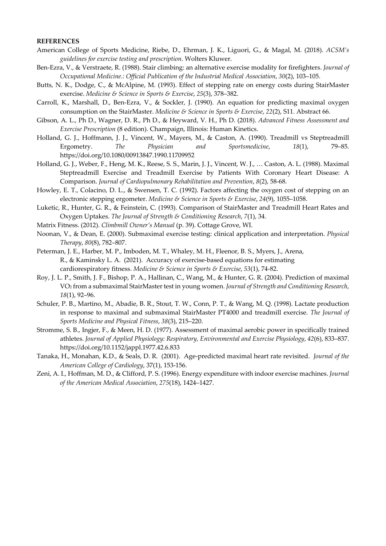## **REFERENCES**

- American College of Sports Medicine, Riebe, D., Ehrman, J. K., Liguori, G., & Magal, M. (2018). *ACSM's guidelines for exercise testing and prescription*. Wolters Kluwer.
- Ben-Ezra, V., & Verstraete, R. (1988). Stair climbing: an alternative exercise modality for firefighters. *Journal of Occupational Medicine.: Official Publication of the Industrial Medical Association*, *30*(2), 103–105.
- Butts, N. K., Dodge, C., & McAlpine, M. (1993). Effect of stepping rate on energy costs during StairMaster exercise. *Medicine & Science in Sports & Exercise*, *25*(3), 378–382.
- Carroll, K., Marshall, D., Ben-Ezra, V., & Sockler, J. (1990). An equation for predicting maximal oxygen consumption on the StairMaster. *Medicine & Science in Sports & Exercise*, *22*(2), S11. Abstract 66.
- Gibson, A. L., Ph D., Wagner, D. R., Ph D., & Heyward, V. H., Ph D. (2018). *Advanced Fitness Assessment and Exercise Prescription* (8 edition). Champaign, Illinois: Human Kinetics.
- Holland, G. J., Hoffmann, J. J., Vincent, W., Mayers, M., & Caston, A. (1990). Treadmill vs Steptreadmill Ergometry. *The Physician and Sportsmedicine*, *18*(1), 79–85. https://doi.org/10.1080/00913847.1990.11709952
- Holland, G. J., Weber, F., Heng, M. K., Reese, S. S., Marin, J. J., Vincent, W. J., … Caston, A. L. (1988). Maximal Steptreadmill Exercise and Treadmill Exercise by Patients With Coronary Heart Disease: A Comparison. *Journal of Cardiopulmonary Rehabilitation and Prevention*, *8*(2), 58-68.
- Howley, E. T., Colacino, D. L., & Swensen, T. C. (1992). Factors affecting the oxygen cost of stepping on an electronic stepping ergometer. *Medicine & Science in Sports & Exercise*, *24*(9), 1055–1058.
- Luketic, R., Hunter, G. R., & Feinstein, C. (1993). Comparison of StairMaster and Treadmill Heart Rates and Oxygen Uptakes. *The Journal of Strength & Conditioning Research*, *7*(1), 34.
- Matrix Fitness. (2012). *Climbmill Owner's Manual* (p. 39). Cottage Grove, WI.
- Noonan, V., & Dean, E. (2000). Submaximal exercise testing: clinical application and interpretation. *Physical Therapy*, *80*(8), 782–807.
- Peterman, J. E., Harber, M. P., Imboden, M. T., Whaley, M. H., Fleenor, B. S., Myers, J., Arena, R., & Kaminsky L. A. (2021). Accuracy of exercise-based equations for estimating cardiorespiratory fitness. *Medicine & Science in Sports & Exercise*, *53*(1), 74-82.
- Roy, J. L. P., Smith, J. F., Bishop, P. A., Hallinan, C., Wang, M., & Hunter, G. R. (2004). Prediction of maximal VO2 from a submaximal StairMaster test in young women. *Journal of Strength and Conditioning Research*, *18*(1), 92–96.
- Schuler, P. B., Martino, M., Abadie, B. R., Stout, T. W., Conn, P. T., & Wang, M. Q. (1998). Lactate production in response to maximal and submaximal StairMaster PT4000 and treadmill exercise. *The Journal of Sports Medicine and Physical Fitness*, *38*(3), 215–220.
- Stromme, S. B., Ingjer, F., & Meen, H. D. (1977). Assessment of maximal aerobic power in specifically trained athletes. *Journal of Applied Physiology: Respiratory, Environmental and Exercise Physiology*, *42*(6), 833–837. https://doi.org/10.1152/jappl.1977.42.6.833
- Tanaka, H., Monahan, K.D., & Seals, D. R. (2001). Age-predicted maximal heart rate revisited. *Journal of the American College of Cardiology*, 37(1), 153-156.
- Zeni, A. I., Hoffman, M. D., & Clifford, P. S. (1996). Energy expenditure with indoor exercise machines. *Journal of the American Medical Association*, *275*(18), 1424–1427.